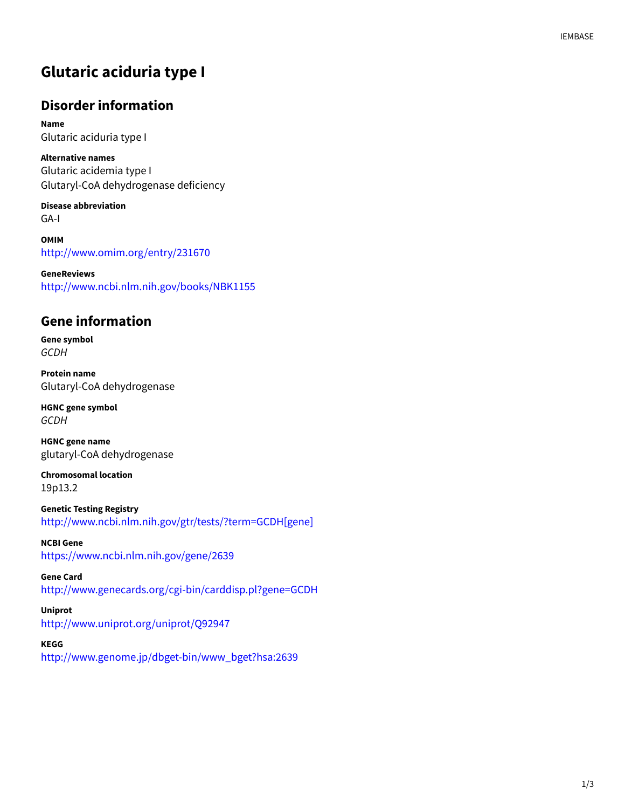## **Glutaric aciduria type I**

#### **Disorder information**

**Name** Glutaric aciduria type I

**Alternative names** Glutaric acidemia type I Glutaryl-CoA dehydrogenase deficiency

**Disease abbreviation** GA-I

**OMIM** http://www.omim.org/entry/231670

**GeneReviews** http://www.ncbi.nlm.nih.gov/books/NBK1155

#### **Gene information**

**Gene symbol GCDH** 

**Protein name** Glutaryl-CoA dehydrogenase

**HGNC gene symbol GCDH** 

**HGNC gene name** glutaryl-CoA dehydrogenase

**Chromosomal location** 19p13.2

**Genetic Testing Registry** http://www.ncbi.nlm.nih.gov/gtr/tests/?term=GCDH[gene]

**NCBI Gene** https://www.ncbi.nlm.nih.gov/gene/2639

**Gene Card** http://www.genecards.org/cgi-bin/carddisp.pl?gene=GCDH

**Uniprot** http://www.uniprot.org/uniprot/Q92947

**KEGG**

http://www.genome.jp/dbget-bin/www\_bget?hsa:2639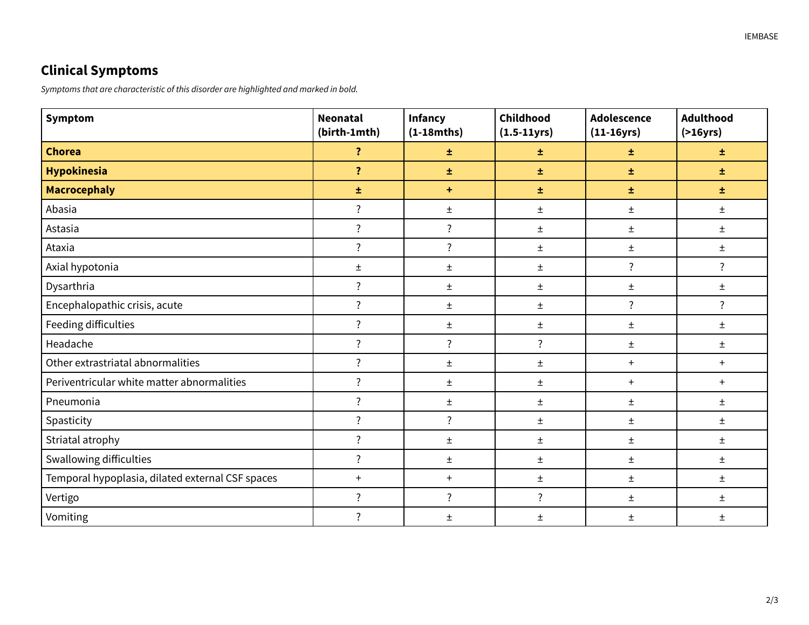# **Clinical Symptoms**

Symptoms that are characteristic of this disorder are highlighted and marked in bold.

| Symptom                                          | <b>Neonatal</b><br>(birth-1mth) | <b>Infancy</b><br>$(1-18mths)$ | Childhood<br>$(1.5-11yrs)$ | <b>Adolescence</b><br>$(11-16yrs)$ | <b>Adulthood</b><br>( > 16yrs) |
|--------------------------------------------------|---------------------------------|--------------------------------|----------------------------|------------------------------------|--------------------------------|
| <b>Chorea</b>                                    | $\ddot{\cdot}$                  | 士                              | 士                          | 士                                  | 士                              |
| <b>Hypokinesia</b>                               | $\overline{\mathbf{?}}$         | ±.                             | 士                          | 士                                  | 士                              |
| <b>Macrocephaly</b>                              | 士                               | ÷                              | 士                          | 士                                  | 士                              |
| Abasia                                           | $\ddot{?}$                      | $\pm$                          | $\pm$                      | $\pm$                              | $\pm$                          |
| Astasia                                          | $\overline{\cdot}$              | $\overline{\cdot}$             | Ŧ                          | $\pm$                              | $\pm$                          |
| Ataxia                                           | $\overline{\cdot}$              | $\overline{\cdot}$             | $\pm$                      | $\pm$                              | $\pm$                          |
| Axial hypotonia                                  | $\pm$                           | Ŧ                              | 土                          | $\overline{?}$                     | $\overline{\cdot}$             |
| Dysarthria                                       | $\ddot{?}$                      | Ŧ                              | Ŧ                          | $\pm$                              | $\pm$                          |
| Encephalopathic crisis, acute                    | $\overline{\cdot}$              | $\pm$                          | Ŧ                          | $\overline{\cdot}$                 | $\overline{\cdot}$             |
| Feeding difficulties                             | $\overline{\cdot}$              | $\pm$                          | 土                          | $\pm$                              | $\pm$                          |
| Headache                                         | $\ddot{?}$                      | $\overline{\cdot}$             | $\ddot{?}$                 | $\pm$                              | $\pm$                          |
| Other extrastriatal abnormalities                | $\overline{\cdot}$              | $\pm$                          | Ŧ                          | $\ddot{}$                          | $+$                            |
| Periventricular white matter abnormalities       | $\overline{\cdot}$              | $\pm$                          | Ŧ.                         | $+$                                | $+$                            |
| Pneumonia                                        | $\ddot{?}$                      | Ŧ                              | $\pm$                      | $\pm$                              | $\pm$                          |
| Spasticity                                       | $\overline{\cdot}$              | $\overline{\cdot}$             | 土                          | 土                                  | Ŧ.                             |
| Striatal atrophy                                 | $\overline{?}$                  | $\pm$                          | $\pm$                      | $\pm$                              | $\pm$                          |
| Swallowing difficulties                          | $\overline{\cdot}$              | $\pm$                          | $\pm$                      | $\pm$                              | $\pm$                          |
| Temporal hypoplasia, dilated external CSF spaces | $\ddot{}$                       | $+$                            | $\pm$                      | $\pm$                              | $\pm$                          |
| Vertigo                                          | $\ddot{?}$                      | $\overline{\cdot}$             | $\ddot{?}$                 | $\pm$                              | $\pm$                          |
| Vomiting                                         | $\overline{?}$                  | Ŧ                              | Ŧ.                         | $\pm$                              | Ŧ.                             |